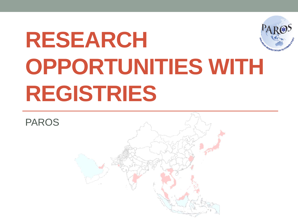# **RESEARCH OPPORTUNITIES WITH REGISTRIES**



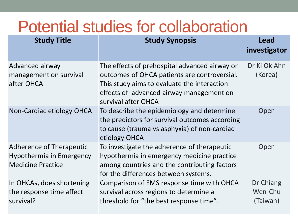| <b>Study Title</b>                                                                      | <b>Study Synopsis</b>                                                                                                                                                                                           | Lead<br>investigator             |
|-----------------------------------------------------------------------------------------|-----------------------------------------------------------------------------------------------------------------------------------------------------------------------------------------------------------------|----------------------------------|
| Advanced airway<br>management on survival<br>after OHCA                                 | The effects of prehospital advanced airway on<br>outcomes of OHCA patients are controversial.<br>This study aims to evaluate the interaction<br>effects of advanced airway management on<br>survival after OHCA | Dr Ki Ok Ahn<br>(Korea)          |
| Non-Cardiac etiology OHCA                                                               | To describe the epidemiology and determine<br>the predictors for survival outcomes according<br>to cause (trauma vs asphyxia) of non-cardiac<br>etiology OHCA                                                   | Open                             |
| <b>Adherence of Therapeutic</b><br>Hypothermia in Emergency<br><b>Medicine Practice</b> | To investigate the adherence of therapeutic<br>hypothermia in emergency medicine practice<br>among countries and the contributing factors<br>for the differences between systems.                               | Open                             |
| In OHCAs, does shortening<br>the response time affect<br>survival?                      | Comparison of EMS response time with OHCA<br>survival across regions to determine a<br>threshold for "the best response time".                                                                                  | Dr Chiang<br>Wen-Chu<br>(Taiwan) |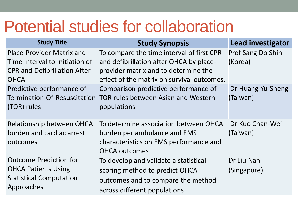| <b>Study Title</b>                                                                                                       | <b>Study Synopsis</b>                                                                                                                                                      | <b>Lead investigator</b>      |
|--------------------------------------------------------------------------------------------------------------------------|----------------------------------------------------------------------------------------------------------------------------------------------------------------------------|-------------------------------|
| <b>Place-Provider Matrix and</b><br>Time Interval to Initiation of<br><b>CPR and Defibrillation After</b><br><b>OHCA</b> | To compare the time interval of first CPR<br>and defibrillation after OHCA by place-<br>provider matrix and to determine the<br>effect of the matrix on survival outcomes. | Prof Sang Do Shin<br>(Korea)  |
| Predictive performance of<br>Termination-Of-Resuscitation<br>(TOR) rules                                                 | Comparison predictive performance of<br>TOR rules between Asian and Western<br>populations                                                                                 | Dr Huang Yu-Sheng<br>(Taiwan) |
| Relationship between OHCA<br>burden and cardiac arrest<br>outcomes                                                       | To determine association between OHCA<br>burden per ambulance and EMS<br>characteristics on EMS performance and<br><b>OHCA outcomes</b>                                    | Dr Kuo Chan-Wei<br>(Taiwan)   |
| <b>Outcome Prediction for</b><br><b>OHCA Patients Using</b><br><b>Statistical Computation</b><br>Approaches              | To develop and validate a statistical<br>scoring method to predict OHCA<br>outcomes and to compare the method<br>across different populations                              | Dr Liu Nan<br>(Singapore)     |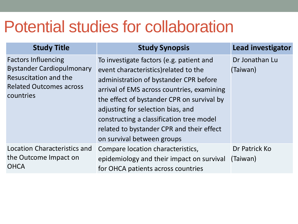| <b>Study Title</b>                                                                                                                     | <b>Study Synopsis</b>                                                                                                                                                                                                                                                                                                                                                               | <b>Lead investigator</b>   |
|----------------------------------------------------------------------------------------------------------------------------------------|-------------------------------------------------------------------------------------------------------------------------------------------------------------------------------------------------------------------------------------------------------------------------------------------------------------------------------------------------------------------------------------|----------------------------|
| <b>Factors Influencing</b><br><b>Bystander Cardiopulmonary</b><br>Resuscitation and the<br><b>Related Outcomes across</b><br>countries | To investigate factors (e.g. patient and<br>event characteristics) related to the<br>administration of bystander CPR before<br>arrival of EMS across countries, examining<br>the effect of bystander CPR on survival by<br>adjusting for selection bias, and<br>constructing a classification tree model<br>related to bystander CPR and their effect<br>on survival between groups | Dr Jonathan Lu<br>(Taiwan) |
| Location Characteristics and<br>the Outcome Impact on<br><b>OHCA</b>                                                                   | Compare location characteristics,<br>epidemiology and their impact on survival<br>for OHCA patients across countries                                                                                                                                                                                                                                                                | Dr Patrick Ko<br>(Taiwan)  |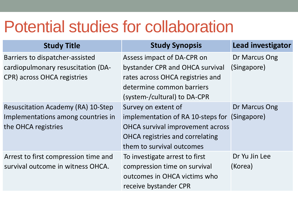| <b>Study Title</b>                        | <b>Study Synopsis</b>                         | Lead investigator |
|-------------------------------------------|-----------------------------------------------|-------------------|
| Barriers to dispatcher-assisted           | Assess impact of DA-CPR on                    | Dr Marcus Ong     |
| cardiopulmonary resuscitation (DA-        | bystander CPR and OHCA survival               | (Singapore)       |
| CPR) across OHCA registries               | rates across OHCA registries and              |                   |
|                                           | determine common barriers                     |                   |
|                                           | (system-/cultural) to DA-CPR                  |                   |
| <b>Resuscitation Academy (RA) 10-Step</b> | Survey on extent of                           | Dr Marcus Ong     |
| Implementations among countries in        | implementation of RA 10-steps for (Singapore) |                   |
| the OHCA registries                       | OHCA survival improvement across              |                   |
|                                           | <b>OHCA</b> registries and correlating        |                   |
|                                           | them to survival outcomes                     |                   |
| Arrest to first compression time and      | To investigate arrest to first                | Dr Yu Jin Lee     |
| survival outcome in witness OHCA.         | compression time on survival                  | (Korea)           |
|                                           | outcomes in OHCA victims who                  |                   |
|                                           | receive bystander CPR                         |                   |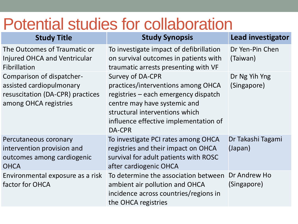| <b>Study Title</b>                                                                                                 | <b>Study Synopsis</b>                                                                                                                                                                                                      | <b>Lead investigator</b>     |
|--------------------------------------------------------------------------------------------------------------------|----------------------------------------------------------------------------------------------------------------------------------------------------------------------------------------------------------------------------|------------------------------|
| The Outcomes of Traumatic or<br>Injured OHCA and Ventricular<br>Fibrillation                                       | To investigate impact of defibrillation<br>on survival outcomes in patients with<br>traumatic arrests presenting with VF                                                                                                   | Dr Yen-Pin Chen<br>(Taiwan)  |
| Comparison of dispatcher-<br>assisted cardiopulmonary<br>resuscitation (DA-CPR) practices<br>among OHCA registries | <b>Survey of DA-CPR</b><br>practices/interventions among OHCA<br>registries - each emergency dispatch<br>centre may have systemic and<br>structural interventions which<br>influence effective implementation of<br>DA-CPR | Dr Ng Yih Yng<br>(Singapore) |
| Percutaneous coronary<br>intervention provision and<br>outcomes among cardiogenic<br><b>OHCA</b>                   | To investigate PCI rates among OHCA<br>registries and their impact on OHCA<br>survival for adult patients with ROSC<br>after cardiogenic OHCA                                                                              | Dr Takashi Tagami<br>(Japan) |
| Environmental exposure as a risk<br>factor for OHCA                                                                | To determine the association between<br>ambient air pollution and OHCA<br>incidence across countries/regions in<br>the OHCA registries                                                                                     | Dr Andrew Ho<br>(Singapore)  |